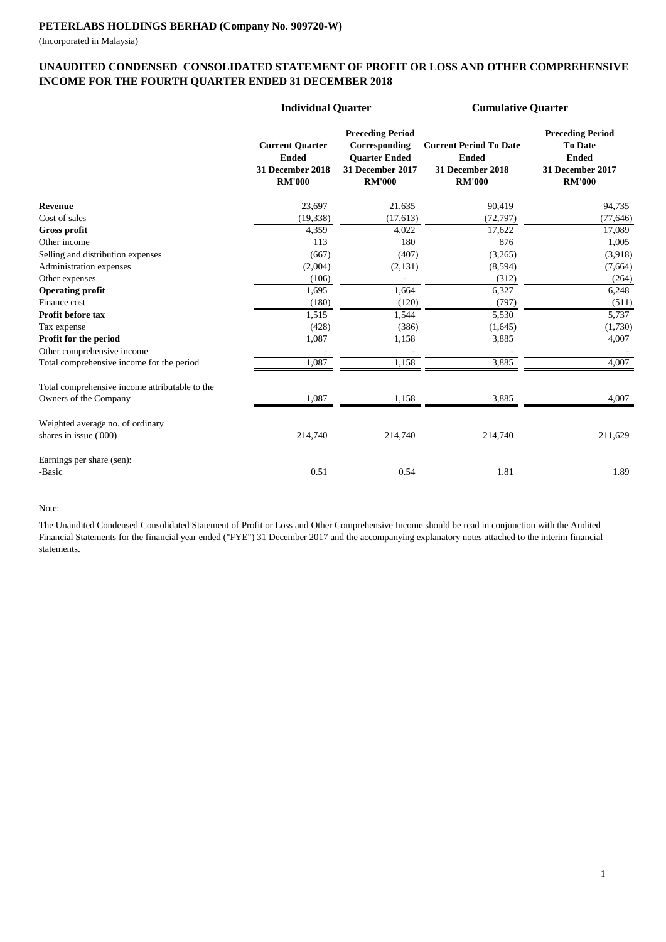(Incorporated in Malaysia)

### **UNAUDITED CONDENSED CONSOLIDATED STATEMENT OF PROFIT OR LOSS AND OTHER COMPREHENSIVE INCOME FOR THE FOURTH QUARTER ENDED 31 DECEMBER 2018**

|                                                | <b>Individual Quarter</b>                                                   |                                                                                                              | <b>Cumulative Quarter</b>                                                          |                                                                                                |
|------------------------------------------------|-----------------------------------------------------------------------------|--------------------------------------------------------------------------------------------------------------|------------------------------------------------------------------------------------|------------------------------------------------------------------------------------------------|
|                                                | <b>Current Quarter</b><br><b>Ended</b><br>31 December 2018<br><b>RM'000</b> | <b>Preceding Period</b><br>Corresponding<br><b>Ouarter Ended</b><br><b>31 December 2017</b><br><b>RM'000</b> | <b>Current Period To Date</b><br><b>Ended</b><br>31 December 2018<br><b>RM'000</b> | <b>Preceding Period</b><br><b>To Date</b><br><b>Ended</b><br>31 December 2017<br><b>RM'000</b> |
| Revenue                                        | 23,697                                                                      | 21,635                                                                                                       | 90,419                                                                             | 94,735                                                                                         |
| Cost of sales                                  | (19, 338)                                                                   | (17,613)                                                                                                     | (72, 797)                                                                          | (77, 646)                                                                                      |
| Gross profit                                   | 4,359                                                                       | 4,022                                                                                                        | 17,622                                                                             | 17,089                                                                                         |
| Other income                                   | 113                                                                         | 180                                                                                                          | 876                                                                                | 1,005                                                                                          |
| Selling and distribution expenses              | (667)                                                                       | (407)                                                                                                        | (3,265)                                                                            | (3,918)                                                                                        |
| Administration expenses                        | (2,004)                                                                     | (2, 131)                                                                                                     | (8, 594)                                                                           | (7,664)                                                                                        |
| Other expenses                                 | (106)                                                                       |                                                                                                              | (312)                                                                              | (264)                                                                                          |
| <b>Operating profit</b>                        | 1,695                                                                       | 1,664                                                                                                        | 6,327                                                                              | 6,248                                                                                          |
| Finance cost                                   | (180)                                                                       | (120)                                                                                                        | (797)                                                                              | (511)                                                                                          |
| Profit before tax                              | 1,515                                                                       | 1,544                                                                                                        | 5,530                                                                              | 5,737                                                                                          |
| Tax expense                                    | (428)                                                                       | (386)                                                                                                        | (1,645)                                                                            | (1,730)                                                                                        |
| Profit for the period                          | 1,087                                                                       | 1,158                                                                                                        | 3,885                                                                              | 4,007                                                                                          |
| Other comprehensive income                     |                                                                             |                                                                                                              |                                                                                    |                                                                                                |
| Total comprehensive income for the period      | 1,087                                                                       | 1,158                                                                                                        | 3,885                                                                              | 4.007                                                                                          |
| Total comprehensive income attributable to the |                                                                             |                                                                                                              |                                                                                    |                                                                                                |
| Owners of the Company                          | 1,087                                                                       | 1,158                                                                                                        | 3,885                                                                              | 4,007                                                                                          |
| Weighted average no. of ordinary               |                                                                             |                                                                                                              |                                                                                    |                                                                                                |
| shares in issue ('000)                         | 214,740                                                                     | 214,740                                                                                                      | 214,740                                                                            | 211,629                                                                                        |
| Earnings per share (sen):                      |                                                                             |                                                                                                              |                                                                                    |                                                                                                |
| -Basic                                         | 0.51                                                                        | 0.54                                                                                                         | 1.81                                                                               | 1.89                                                                                           |

Note:

The Unaudited Condensed Consolidated Statement of Profit or Loss and Other Comprehensive Income should be read in conjunction with the Audited Financial Statements for the financial year ended ("FYE") 31 December 2017 and the accompanying explanatory notes attached to the interim financial statements.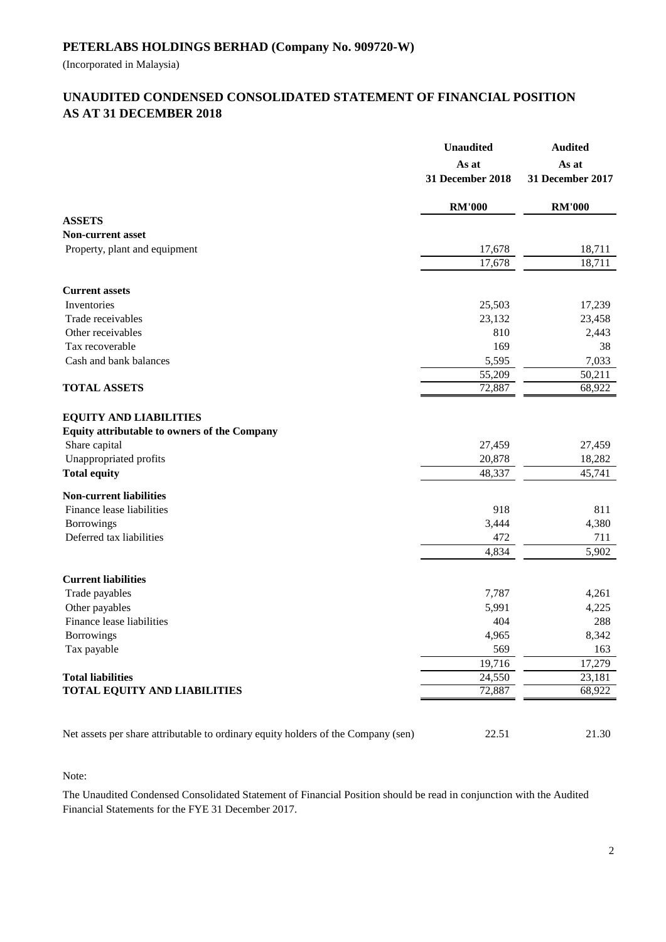(Incorporated in Malaysia)

# **AS AT 31 DECEMBER 2018 UNAUDITED CONDENSED CONSOLIDATED STATEMENT OF FINANCIAL POSITION**

|                                                                                   | <b>Unaudited</b><br>As at<br>31 December 2018 | <b>Audited</b><br>As at<br>31 December 2017 |
|-----------------------------------------------------------------------------------|-----------------------------------------------|---------------------------------------------|
|                                                                                   | <b>RM'000</b>                                 | <b>RM'000</b>                               |
| <b>ASSETS</b>                                                                     |                                               |                                             |
| <b>Non-current asset</b>                                                          |                                               |                                             |
| Property, plant and equipment                                                     | 17,678<br>17,678                              | 18,711<br>18,711                            |
|                                                                                   |                                               |                                             |
| <b>Current assets</b>                                                             |                                               |                                             |
| Inventories                                                                       | 25,503                                        | 17,239                                      |
| Trade receivables                                                                 | 23,132                                        | 23,458                                      |
| Other receivables                                                                 | 810                                           | 2,443                                       |
| Tax recoverable                                                                   | 169                                           | 38                                          |
| Cash and bank balances                                                            | 5,595                                         | 7,033                                       |
|                                                                                   | 55,209                                        | 50,211                                      |
| <b>TOTAL ASSETS</b>                                                               | 72,887                                        | 68,922                                      |
| <b>EQUITY AND LIABILITIES</b><br>Equity attributable to owners of the Company     |                                               |                                             |
| Share capital                                                                     | 27,459                                        | 27,459                                      |
| Unappropriated profits                                                            | 20,878                                        | 18,282                                      |
| <b>Total equity</b>                                                               | 48,337                                        | 45,741                                      |
| <b>Non-current liabilities</b>                                                    |                                               |                                             |
| Finance lease liabilities                                                         | 918                                           | 811                                         |
| Borrowings                                                                        | 3,444                                         | 4,380                                       |
| Deferred tax liabilities                                                          | 472                                           | 711                                         |
|                                                                                   | 4,834                                         | 5,902                                       |
| <b>Current liabilities</b>                                                        |                                               |                                             |
| Trade payables                                                                    | 7,787                                         | 4,261                                       |
| Other payables                                                                    | 5,991                                         | 4,225                                       |
| Finance lease liabilities                                                         | 404                                           | 288                                         |
| <b>Borrowings</b>                                                                 | 4,965                                         | 8,342                                       |
| Tax payable                                                                       | 569                                           | 163                                         |
|                                                                                   | 19,716                                        | 17,279                                      |
| <b>Total liabilities</b>                                                          | 24,550                                        | 23,181                                      |
| <b>TOTAL EQUITY AND LIABILITIES</b>                                               | 72,887                                        | 68,922                                      |
| Net assets per share attributable to ordinary equity holders of the Company (sen) | 22.51                                         | 21.30                                       |

Note:

The Unaudited Condensed Consolidated Statement of Financial Position should be read in conjunction with the Audited Financial Statements for the FYE 31 December 2017.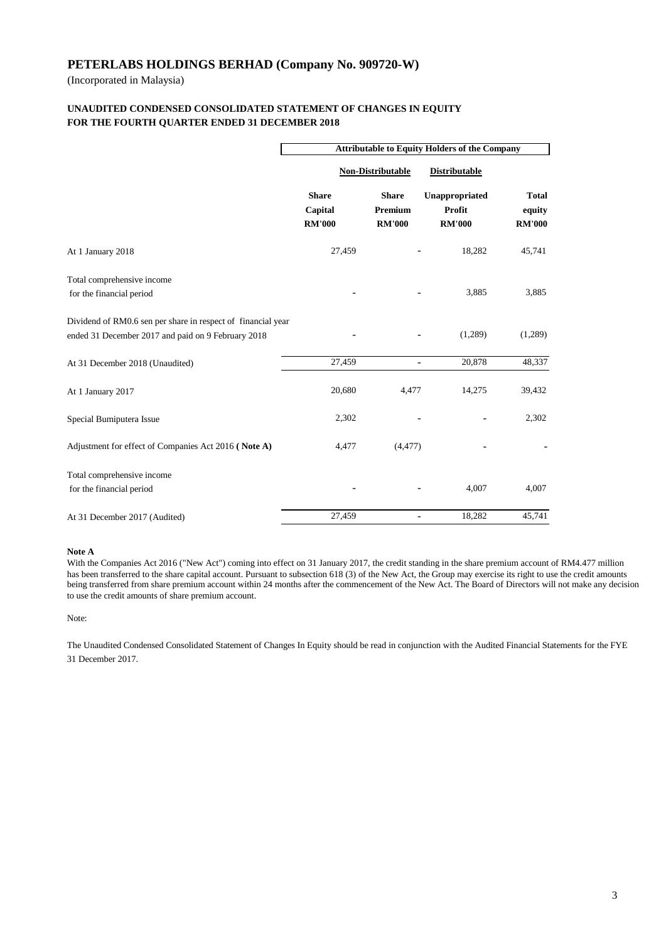(Incorporated in Malaysia)

#### **FOR THE FOURTH QUARTER ENDED 31 DECEMBER 2018 UNAUDITED CONDENSED CONSOLIDATED STATEMENT OF CHANGES IN EQUITY**

|                                                                                                                    | <b>Attributable to Equity Holders of the Company</b> |                                          |                                           |                                         |  |
|--------------------------------------------------------------------------------------------------------------------|------------------------------------------------------|------------------------------------------|-------------------------------------------|-----------------------------------------|--|
|                                                                                                                    | Non-Distributable                                    |                                          | <b>Distributable</b>                      |                                         |  |
|                                                                                                                    | <b>Share</b><br>Capital<br><b>RM'000</b>             | <b>Share</b><br>Premium<br><b>RM'000</b> | Unappropriated<br>Profit<br><b>RM'000</b> | <b>Total</b><br>equity<br><b>RM'000</b> |  |
| At 1 January 2018                                                                                                  | 27,459                                               |                                          | 18,282                                    | 45,741                                  |  |
| Total comprehensive income<br>for the financial period                                                             |                                                      |                                          | 3.885                                     | 3,885                                   |  |
| Dividend of RM0.6 sen per share in respect of financial year<br>ended 31 December 2017 and paid on 9 February 2018 |                                                      |                                          | (1,289)                                   | (1,289)                                 |  |
| At 31 December 2018 (Unaudited)                                                                                    | 27,459                                               | ÷                                        | 20,878                                    | 48,337                                  |  |
| At 1 January 2017                                                                                                  | 20,680                                               | 4,477                                    | 14,275                                    | 39,432                                  |  |
| Special Bumiputera Issue                                                                                           | 2,302                                                |                                          |                                           | 2,302                                   |  |
| Adjustment for effect of Companies Act 2016 (Note A)                                                               | 4,477                                                | (4, 477)                                 |                                           |                                         |  |
| Total comprehensive income<br>for the financial period                                                             |                                                      |                                          | 4,007                                     | 4,007                                   |  |
| At 31 December 2017 (Audited)                                                                                      | 27,459                                               | $\overline{\phantom{0}}$                 | 18,282                                    | 45,741                                  |  |

#### **Note A**

With the Companies Act 2016 ("New Act") coming into effect on 31 January 2017, the credit standing in the share premium account of RM4.477 million has been transferred to the share capital account. Pursuant to subsection 618 (3) of the New Act, the Group may exercise its right to use the credit amounts being transferred from share premium account within 24 months after the commencement of the New Act. The Board of Directors will not make any decision to use the credit amounts of share premium account.

Note:

The Unaudited Condensed Consolidated Statement of Changes In Equity should be read in conjunction with the Audited Financial Statements for the FYE 31 December 2017.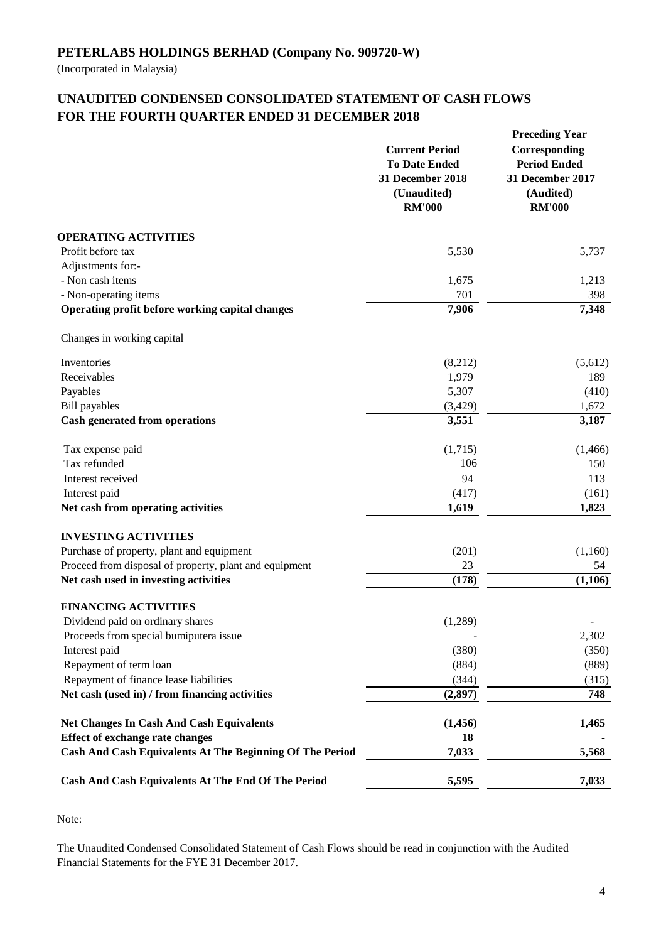(Incorporated in Malaysia)

# **UNAUDITED CONDENSED CONSOLIDATED STATEMENT OF CASH FLOWS FOR THE FOURTH QUARTER ENDED 31 DECEMBER 2018**

|                                                                 | <b>Current Period</b><br><b>To Date Ended</b><br>31 December 2018<br>(Unaudited)<br><b>RM'000</b> | <b>Preceding Year</b><br>Corresponding<br><b>Period Ended</b><br>31 December 2017<br>(Audited)<br><b>RM'000</b> |
|-----------------------------------------------------------------|---------------------------------------------------------------------------------------------------|-----------------------------------------------------------------------------------------------------------------|
| <b>OPERATING ACTIVITIES</b>                                     |                                                                                                   |                                                                                                                 |
| Profit before tax                                               | 5,530                                                                                             | 5,737                                                                                                           |
| Adjustments for:-                                               |                                                                                                   |                                                                                                                 |
| - Non cash items                                                | 1,675                                                                                             | 1,213                                                                                                           |
| - Non-operating items                                           | 701                                                                                               | 398                                                                                                             |
| Operating profit before working capital changes                 | 7,906                                                                                             | 7,348                                                                                                           |
| Changes in working capital                                      |                                                                                                   |                                                                                                                 |
| Inventories                                                     | (8,212)                                                                                           | (5,612)                                                                                                         |
| Receivables                                                     | 1,979                                                                                             | 189                                                                                                             |
| Payables                                                        | 5,307                                                                                             | (410)                                                                                                           |
| <b>Bill</b> payables                                            | (3, 429)                                                                                          | 1,672                                                                                                           |
| <b>Cash generated from operations</b>                           | 3,551                                                                                             | 3,187                                                                                                           |
| Tax expense paid                                                | (1,715)                                                                                           | (1,466)                                                                                                         |
| Tax refunded                                                    | 106                                                                                               | 150                                                                                                             |
| Interest received                                               | 94                                                                                                | 113                                                                                                             |
| Interest paid                                                   | (417)                                                                                             | (161)                                                                                                           |
| Net cash from operating activities                              | 1,619                                                                                             | 1,823                                                                                                           |
| <b>INVESTING ACTIVITIES</b>                                     |                                                                                                   |                                                                                                                 |
| Purchase of property, plant and equipment                       | (201)                                                                                             | (1,160)                                                                                                         |
| Proceed from disposal of property, plant and equipment          | 23                                                                                                | 54                                                                                                              |
| Net cash used in investing activities                           | (178)                                                                                             | (1,106)                                                                                                         |
| <b>FINANCING ACTIVITIES</b>                                     |                                                                                                   |                                                                                                                 |
| Dividend paid on ordinary shares                                | (1,289)                                                                                           |                                                                                                                 |
| Proceeds from special bumiputera issue                          |                                                                                                   | 2,302                                                                                                           |
| Interest paid                                                   | (380)                                                                                             | (350)                                                                                                           |
| Repayment of term loan                                          | (884)                                                                                             | (889)                                                                                                           |
| Repayment of finance lease liabilities                          | (344)                                                                                             | (315)                                                                                                           |
| Net cash (used in) / from financing activities                  | (2,897)                                                                                           | 748                                                                                                             |
| <b>Net Changes In Cash And Cash Equivalents</b>                 | (1, 456)                                                                                          | 1,465                                                                                                           |
| <b>Effect of exchange rate changes</b>                          | 18                                                                                                |                                                                                                                 |
| <b>Cash And Cash Equivalents At The Beginning Of The Period</b> | 7,033                                                                                             | 5,568                                                                                                           |
| Cash And Cash Equivalents At The End Of The Period              | 5,595                                                                                             | 7,033                                                                                                           |

Note:

The Unaudited Condensed Consolidated Statement of Cash Flows should be read in conjunction with the Audited Financial Statements for the FYE 31 December 2017.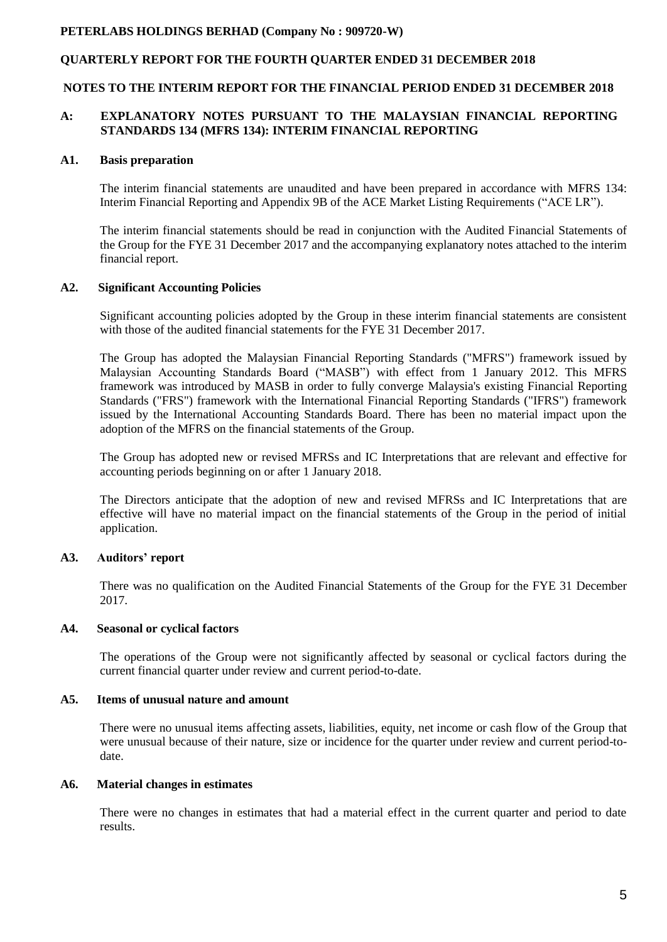### **QUARTERLY REPORT FOR THE FOURTH QUARTER ENDED 31 DECEMBER 2018**

#### **NOTES TO THE INTERIM REPORT FOR THE FINANCIAL PERIOD ENDED 31 DECEMBER 2018**

#### **A: EXPLANATORY NOTES PURSUANT TO THE MALAYSIAN FINANCIAL REPORTING STANDARDS 134 (MFRS 134): INTERIM FINANCIAL REPORTING**

#### **A1. Basis preparation**

The interim financial statements are unaudited and have been prepared in accordance with MFRS 134: Interim Financial Reporting and Appendix 9B of the ACE Market Listing Requirements ("ACE LR").

The interim financial statements should be read in conjunction with the Audited Financial Statements of the Group for the FYE 31 December 2017 and the accompanying explanatory notes attached to the interim financial report.

#### **A2. Significant Accounting Policies**

Significant accounting policies adopted by the Group in these interim financial statements are consistent with those of the audited financial statements for the FYE 31 December 2017.

The Group has adopted the Malaysian Financial Reporting Standards ("MFRS") framework issued by Malaysian Accounting Standards Board ("MASB") with effect from 1 January 2012. This MFRS framework was introduced by MASB in order to fully converge Malaysia's existing Financial Reporting Standards ("FRS") framework with the International Financial Reporting Standards ("IFRS") framework issued by the International Accounting Standards Board. There has been no material impact upon the adoption of the MFRS on the financial statements of the Group.

The Group has adopted new or revised MFRSs and IC Interpretations that are relevant and effective for accounting periods beginning on or after 1 January 2018.

The Directors anticipate that the adoption of new and revised MFRSs and IC Interpretations that are effective will have no material impact on the financial statements of the Group in the period of initial application.

#### **A3. Auditors' report**

There was no qualification on the Audited Financial Statements of the Group for the FYE 31 December 2017.

#### **A4. Seasonal or cyclical factors**

The operations of the Group were not significantly affected by seasonal or cyclical factors during the current financial quarter under review and current period-to-date.

#### **A5. Items of unusual nature and amount**

There were no unusual items affecting assets, liabilities, equity, net income or cash flow of the Group that were unusual because of their nature, size or incidence for the quarter under review and current period-todate.

#### **A6. Material changes in estimates**

There were no changes in estimates that had a material effect in the current quarter and period to date results.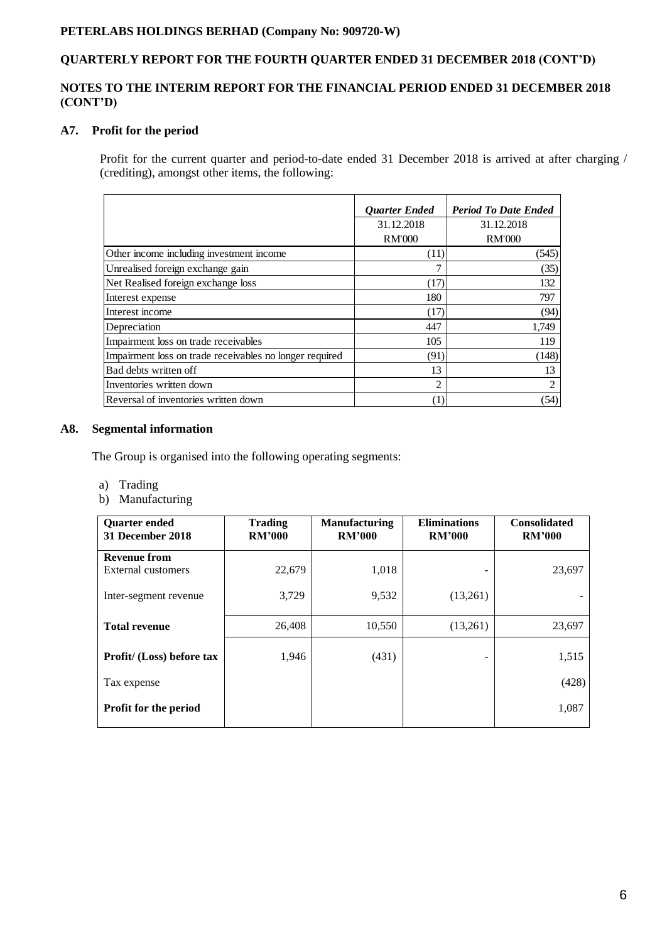# **QUARTERLY REPORT FOR THE FOURTH QUARTER ENDED 31 DECEMBER 2018 (CONT'D)**

## **NOTES TO THE INTERIM REPORT FOR THE FINANCIAL PERIOD ENDED 31 DECEMBER 2018 (CONT'D)**

## **A7. Profit for the period**

Profit for the current quarter and period-to-date ended 31 December 2018 is arrived at after charging / (crediting), amongst other items, the following:

|                                                         | <b>Ouarter Ended</b> | <b>Period To Date Ended</b> |
|---------------------------------------------------------|----------------------|-----------------------------|
|                                                         | 31.12.2018           | 31.12.2018                  |
|                                                         | <b>RM'000</b>        | <b>RM'000</b>               |
| Other income including investment income                | (11)                 | (545)                       |
| Unrealised foreign exchange gain                        |                      | (35)                        |
| Net Realised foreign exchange loss                      | (17)                 | 132                         |
| Interest expense                                        | 180                  | 797                         |
| Interest income                                         | (17)                 | (94)                        |
| Depreciation                                            | 447                  | 1,749                       |
| Impairment loss on trade receivables                    | 105                  | 119                         |
| Impairment loss on trade receivables no longer required | (91)                 | (148)                       |
| Bad debts written off                                   | 13                   | 13                          |
| Inventories written down                                | $\mathfrak{D}$       | $\mathfrak{D}$              |
| Reversal of inventories written down                    | $\left(1\right)$     | (54)                        |

## **A8. Segmental information**

The Group is organised into the following operating segments:

- a) Trading
- b) Manufacturing

| <b>Ouarter ended</b><br>31 December 2018 | <b>Trading</b><br><b>RM'000</b> | <b>Manufacturing</b><br><b>RM'000</b> | <b>Eliminations</b><br><b>RM'000</b> | <b>Consolidated</b><br><b>RM'000</b> |
|------------------------------------------|---------------------------------|---------------------------------------|--------------------------------------|--------------------------------------|
| <b>Revenue from</b>                      |                                 |                                       |                                      |                                      |
| External customers                       | 22,679                          | 1,018                                 |                                      | 23,697                               |
| Inter-segment revenue                    | 3,729                           | 9,532                                 | (13,261)                             |                                      |
| <b>Total revenue</b>                     | 26,408                          | 10,550                                | (13,261)                             | 23,697                               |
| Profit/ (Loss) before tax                | 1,946                           | (431)                                 |                                      | 1,515                                |
| Tax expense                              |                                 |                                       |                                      | (428)                                |
| Profit for the period                    |                                 |                                       |                                      | 1,087                                |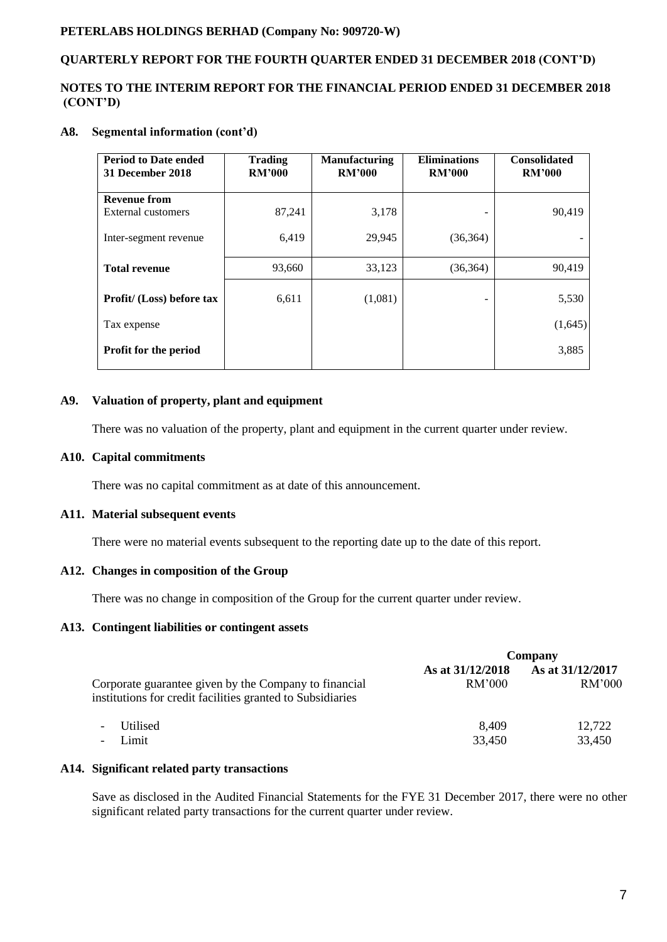## **QUARTERLY REPORT FOR THE FOURTH QUARTER ENDED 31 DECEMBER 2018 (CONT'D)**

#### **NOTES TO THE INTERIM REPORT FOR THE FINANCIAL PERIOD ENDED 31 DECEMBER 2018 (CONT'D)**

## **A8. Segmental information (cont'd)**

| <b>Period to Date ended</b><br>31 December 2018 | <b>Trading</b><br><b>RM'000</b> | <b>Manufacturing</b><br><b>RM'000</b> | <b>Eliminations</b><br><b>RM'000</b> | <b>Consolidated</b><br><b>RM'000</b> |
|-------------------------------------------------|---------------------------------|---------------------------------------|--------------------------------------|--------------------------------------|
| <b>Revenue from</b>                             |                                 |                                       |                                      |                                      |
| External customers                              | 87,241                          | 3,178                                 |                                      | 90,419                               |
| Inter-segment revenue                           | 6,419                           | 29,945                                | (36, 364)                            |                                      |
| <b>Total revenue</b>                            | 93,660                          | 33,123                                | (36,364)                             | 90,419                               |
| Profit/ (Loss) before tax                       | 6,611                           | (1,081)                               |                                      | 5,530                                |
| Tax expense                                     |                                 |                                       |                                      | (1,645)                              |
| <b>Profit for the period</b>                    |                                 |                                       |                                      | 3,885                                |

## **A9. Valuation of property, plant and equipment**

There was no valuation of the property, plant and equipment in the current quarter under review.

## **A10. Capital commitments**

There was no capital commitment as at date of this announcement.

#### **A11. Material subsequent events**

There were no material events subsequent to the reporting date up to the date of this report.

#### **A12. Changes in composition of the Group**

There was no change in composition of the Group for the current quarter under review.

#### **A13. Contingent liabilities or contingent assets**

|                                                                                                                     | Company                    |                                   |  |
|---------------------------------------------------------------------------------------------------------------------|----------------------------|-----------------------------------|--|
| Corporate guarantee given by the Company to financial<br>institutions for credit facilities granted to Subsidiaries | As at 31/12/2018<br>RM'000 | As at 31/12/2017<br><b>RM'000</b> |  |
| <b>Utilised</b><br>$\overline{\phantom{a}}$<br>Limit<br>$\overline{\phantom{a}}$                                    | 8.409<br>33,450            | 12,722<br>33,450                  |  |

## **A14. Significant related party transactions**

Save as disclosed in the Audited Financial Statements for the FYE 31 December 2017, there were no other significant related party transactions for the current quarter under review.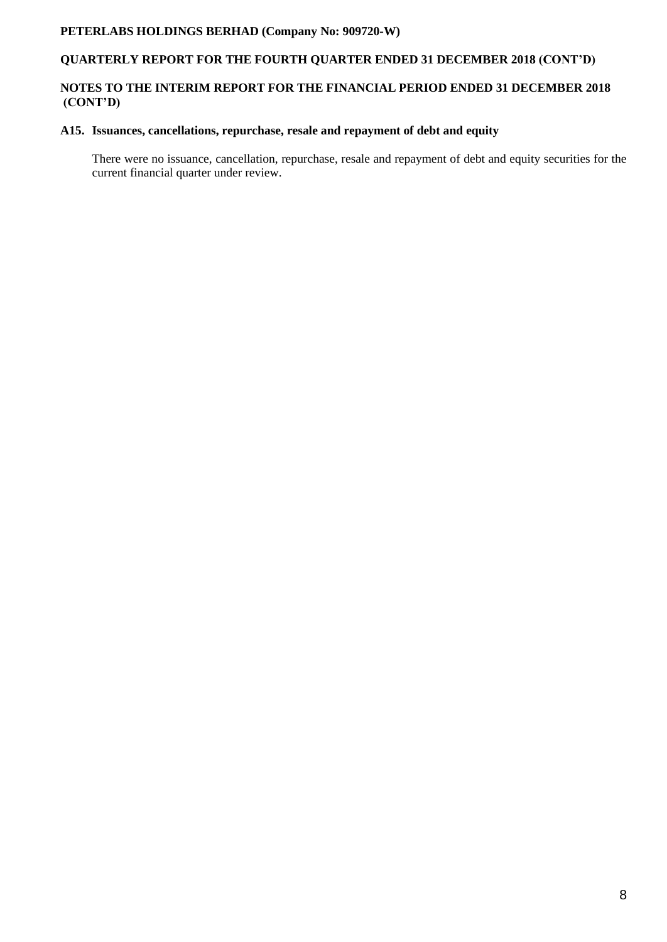# **QUARTERLY REPORT FOR THE FOURTH QUARTER ENDED 31 DECEMBER 2018 (CONT'D)**

## **NOTES TO THE INTERIM REPORT FOR THE FINANCIAL PERIOD ENDED 31 DECEMBER 2018 (CONT'D)**

## **A15. Issuances, cancellations, repurchase, resale and repayment of debt and equity**

There were no issuance, cancellation, repurchase, resale and repayment of debt and equity securities for the current financial quarter under review.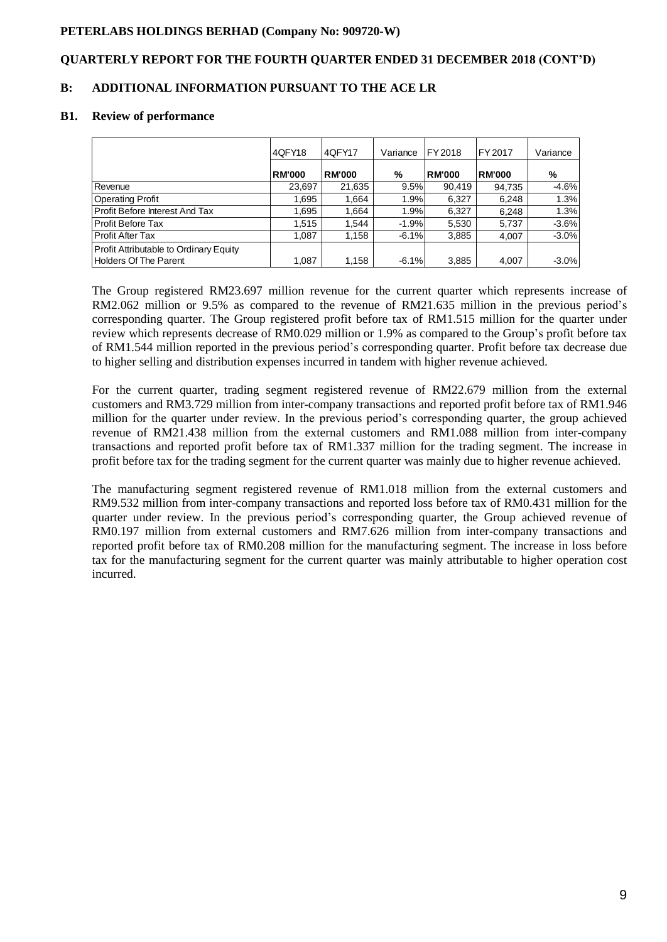## **QUARTERLY REPORT FOR THE FOURTH QUARTER ENDED 31 DECEMBER 2018 (CONT'D)**

## **B: ADDITIONAL INFORMATION PURSUANT TO THE ACE LR**

#### **B1. Review of performance**

|                                        | 4QFY18        | 4QFY17        | Variance | FY 2018       | FY 2017       | Variance |
|----------------------------------------|---------------|---------------|----------|---------------|---------------|----------|
|                                        | <b>RM'000</b> | <b>RM'000</b> | %        | <b>RM'000</b> | <b>RM'000</b> | %        |
| Revenue                                | 23,697        | 21,635        | 9.5%     | 90.419        | 94,735        | $-4.6%$  |
| <b>Operating Profit</b>                | 1,695         | 1,664         | 1.9%     | 6,327         | 6,248         | 1.3%     |
| Profit Before Interest And Tax         | 1,695         | 1.664         | 1.9%     | 6,327         | 6.248         | 1.3%     |
| Profit Before Tax                      | 1.515         | 1.544         | $-1.9%$  | 5,530         | 5,737         | $-3.6%$  |
| Profit After Tax                       | 1.087         | 1.158         | $-6.1%$  | 3,885         | 4,007         | $-3.0%$  |
| Profit Attributable to Ordinary Equity |               |               |          |               |               |          |
| Holders Of The Parent                  | 1,087         | 1,158         | $-6.1%$  | 3,885         | 4,007         | $-3.0%$  |

The Group registered RM23.697 million revenue for the current quarter which represents increase of RM2.062 million or 9.5% as compared to the revenue of RM21.635 million in the previous period's corresponding quarter. The Group registered profit before tax of RM1.515 million for the quarter under review which represents decrease of RM0.029 million or 1.9% as compared to the Group's profit before tax of RM1.544 million reported in the previous period's corresponding quarter. Profit before tax decrease due to higher selling and distribution expenses incurred in tandem with higher revenue achieved.

For the current quarter, trading segment registered revenue of RM22.679 million from the external customers and RM3.729 million from inter-company transactions and reported profit before tax of RM1.946 million for the quarter under review. In the previous period's corresponding quarter, the group achieved revenue of RM21.438 million from the external customers and RM1.088 million from inter-company transactions and reported profit before tax of RM1.337 million for the trading segment. The increase in profit before tax for the trading segment for the current quarter was mainly due to higher revenue achieved.

The manufacturing segment registered revenue of RM1.018 million from the external customers and RM9.532 million from inter-company transactions and reported loss before tax of RM0.431 million for the quarter under review. In the previous period's corresponding quarter, the Group achieved revenue of RM0.197 million from external customers and RM7.626 million from inter-company transactions and reported profit before tax of RM0.208 million for the manufacturing segment. The increase in loss before tax for the manufacturing segment for the current quarter was mainly attributable to higher operation cost incurred.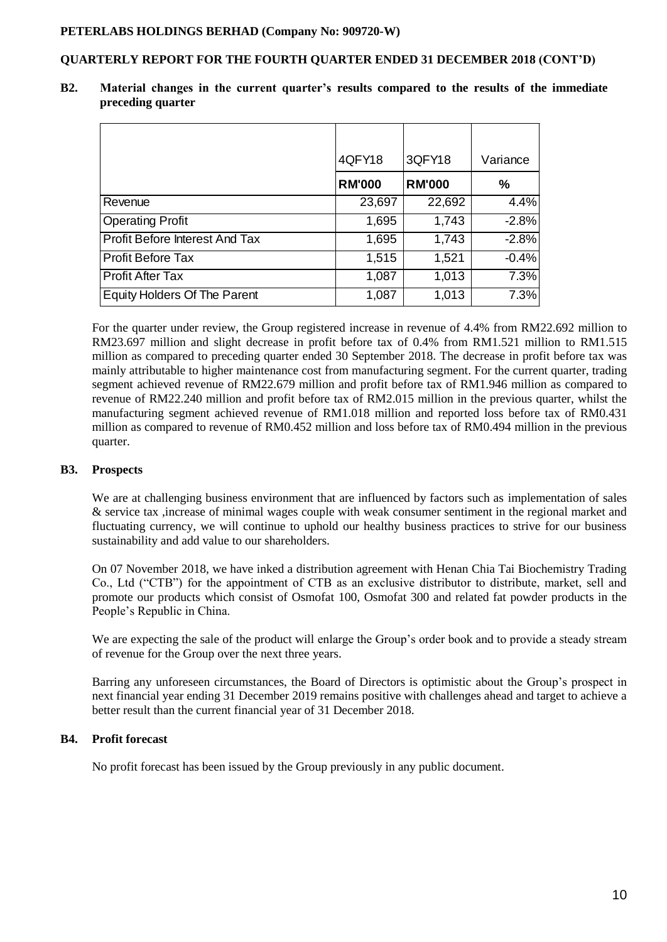### **QUARTERLY REPORT FOR THE FOURTH QUARTER ENDED 31 DECEMBER 2018 (CONT'D)**

|                                | 4QFY18        | 3QFY18        | Variance |
|--------------------------------|---------------|---------------|----------|
|                                | <b>RM'000</b> | <b>RM'000</b> | $\%$     |
| Revenue                        | 23,697        | 22,692        | 4.4%     |
| <b>Operating Profit</b>        | 1,695         | 1,743         | $-2.8%$  |
| Profit Before Interest And Tax | 1,695         | 1,743         | $-2.8%$  |
| <b>Profit Before Tax</b>       | 1,515         | 1,521         | $-0.4%$  |
| <b>Profit After Tax</b>        | 1,087         | 1,013         | 7.3%     |
| Equity Holders Of The Parent   | 1,087         | 1,013         | 7.3%     |

**B2. Material changes in the current quarter's results compared to the results of the immediate preceding quarter**

For the quarter under review, the Group registered increase in revenue of 4.4% from RM22.692 million to RM23.697 million and slight decrease in profit before tax of 0.4% from RM1.521 million to RM1.515 million as compared to preceding quarter ended 30 September 2018. The decrease in profit before tax was mainly attributable to higher maintenance cost from manufacturing segment. For the current quarter, trading segment achieved revenue of RM22.679 million and profit before tax of RM1.946 million as compared to revenue of RM22.240 million and profit before tax of RM2.015 million in the previous quarter, whilst the manufacturing segment achieved revenue of RM1.018 million and reported loss before tax of RM0.431 million as compared to revenue of RM0.452 million and loss before tax of RM0.494 million in the previous quarter.

#### **B3. Prospects**

We are at challenging business environment that are influenced by factors such as implementation of sales & service tax ,increase of minimal wages couple with weak consumer sentiment in the regional market and fluctuating currency, we will continue to uphold our healthy business practices to strive for our business sustainability and add value to our shareholders.

On 07 November 2018, we have inked a distribution agreement with Henan Chia Tai Biochemistry Trading Co., Ltd ("CTB") for the appointment of CTB as an exclusive distributor to distribute, market, sell and promote our products which consist of Osmofat 100, Osmofat 300 and related fat powder products in the People's Republic in China.

We are expecting the sale of the product will enlarge the Group's order book and to provide a steady stream of revenue for the Group over the next three years.

Barring any unforeseen circumstances, the Board of Directors is optimistic about the Group's prospect in next financial year ending 31 December 2019 remains positive with challenges ahead and target to achieve a better result than the current financial year of 31 December 2018.

## **B4. Profit forecast**

No profit forecast has been issued by the Group previously in any public document.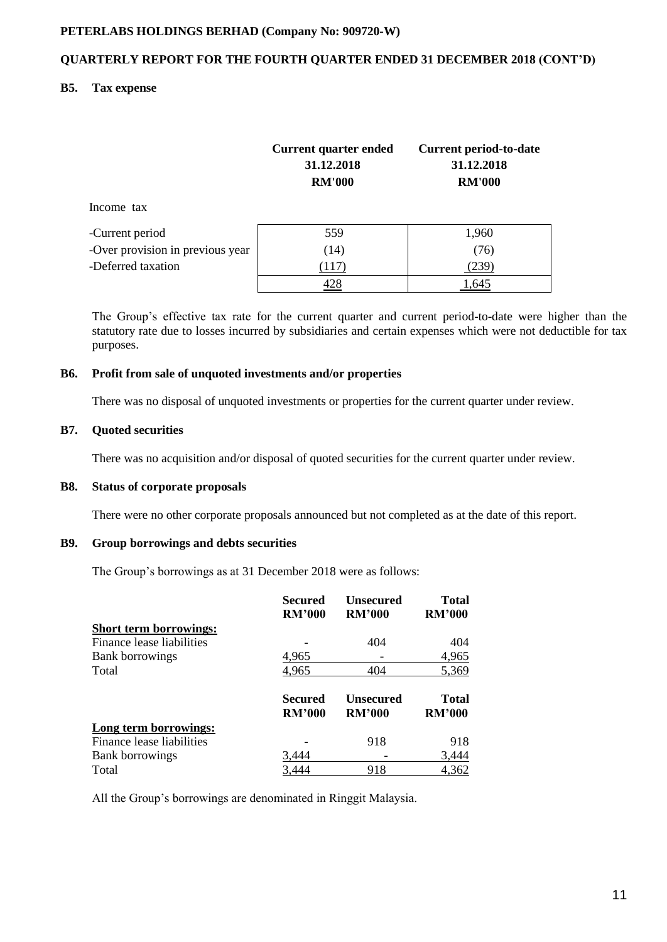## **QUARTERLY REPORT FOR THE FOURTH QUARTER ENDED 31 DECEMBER 2018 (CONT'D)**

#### **B5. Tax expense**

|                                  | <b>Current quarter ended</b><br>31.12.2018<br><b>RM'000</b> | <b>Current period-to-date</b><br>31.12.2018<br><b>RM'000</b> |
|----------------------------------|-------------------------------------------------------------|--------------------------------------------------------------|
| Income tax                       |                                                             |                                                              |
| -Current period                  | 559                                                         | 1,960                                                        |
| -Over provision in previous year | (14)                                                        | (76)                                                         |
| -Deferred taxation               | (117)                                                       | (239)                                                        |
|                                  | 428                                                         | 1,645                                                        |

The Group's effective tax rate for the current quarter and current period-to-date were higher than the statutory rate due to losses incurred by subsidiaries and certain expenses which were not deductible for tax purposes.

#### **B6. Profit from sale of unquoted investments and/or properties**

There was no disposal of unquoted investments or properties for the current quarter under review.

#### **B7. Quoted securities**

There was no acquisition and/or disposal of quoted securities for the current quarter under review.

#### **B8. Status of corporate proposals**

There were no other corporate proposals announced but not completed as at the date of this report.

## **B9. Group borrowings and debts securities**

The Group's borrowings as at 31 December 2018 were as follows:

|                               | Secured<br><b>RM'000</b>        | <b>Unsecured</b><br><b>RM'000</b> | <b>Total</b><br><b>RM'000</b> |
|-------------------------------|---------------------------------|-----------------------------------|-------------------------------|
| <b>Short term borrowings:</b> |                                 |                                   |                               |
| Finance lease liabilities     |                                 | 404                               | 404                           |
| <b>Bank borrowings</b>        | 4,965                           |                                   | 4,965                         |
| Total                         | 4,965                           | 404                               | 5,369                         |
|                               | <b>Secured</b><br><b>RM'000</b> | <b>Unsecured</b><br><b>RM'000</b> | <b>Total</b><br><b>RM'000</b> |
| Long term borrowings:         |                                 |                                   |                               |
| Finance lease liabilities     |                                 | 918                               | 918                           |
| <b>Bank borrowings</b>        | 3,444                           |                                   | 3,444                         |
| Total                         | 3.444                           | 918                               | 4,362                         |

All the Group's borrowings are denominated in Ringgit Malaysia.